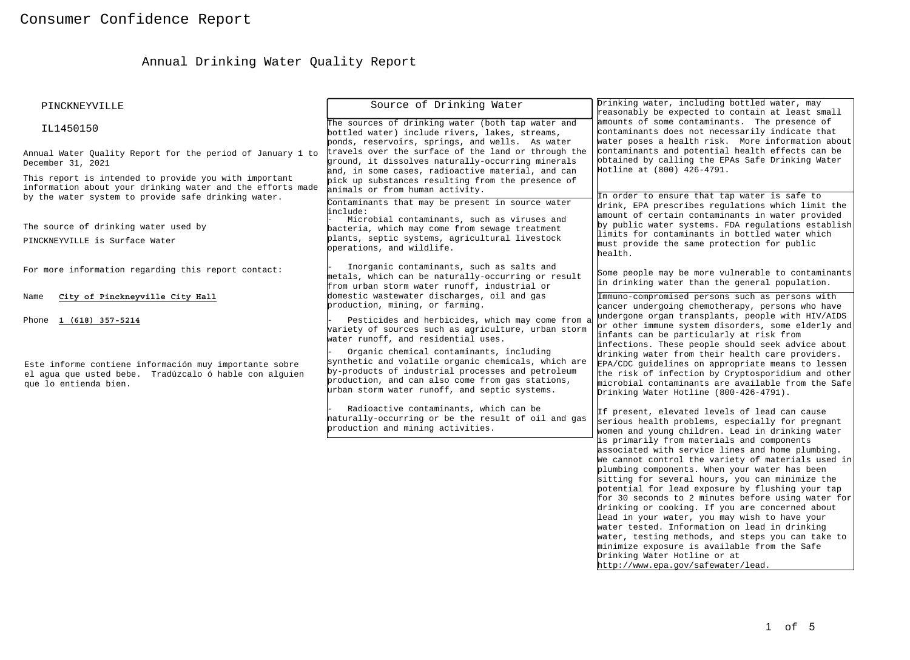# Annual Drinking Water Quality Report

| PINCKNEYVILLE                                                                                                                                                              | Source of Drinking Water                                                                                                                                                                                                                                                                                                                                                                                    | Drinking water, including bottled water, may<br>reasonably be expected to contain at least small                                                                                                                                                                                                                                                                                                                                                                                                                                                                                                                                                                                                   |  |
|----------------------------------------------------------------------------------------------------------------------------------------------------------------------------|-------------------------------------------------------------------------------------------------------------------------------------------------------------------------------------------------------------------------------------------------------------------------------------------------------------------------------------------------------------------------------------------------------------|----------------------------------------------------------------------------------------------------------------------------------------------------------------------------------------------------------------------------------------------------------------------------------------------------------------------------------------------------------------------------------------------------------------------------------------------------------------------------------------------------------------------------------------------------------------------------------------------------------------------------------------------------------------------------------------------------|--|
| IL1450150                                                                                                                                                                  | The sources of drinking water (both tap water and<br>bottled water) include rivers, lakes, streams,<br>ponds, reservoirs, springs, and wells. As water                                                                                                                                                                                                                                                      | amounts of some contaminants. The presence of<br>contaminants does not necessarily indicate that<br>water poses a health risk. More information about                                                                                                                                                                                                                                                                                                                                                                                                                                                                                                                                              |  |
| Annual Water Ouality Report for the period of January 1 to<br>December 31, 2021                                                                                            | travels over the surface of the land or through the<br>ground, it dissolves naturally-occurring minerals<br>and, in some cases, radioactive material, and can                                                                                                                                                                                                                                               | contaminants and potential health effects can be<br>obtained by calling the EPAs Safe Drinking Water<br>Hotline at (800) 426-4791.                                                                                                                                                                                                                                                                                                                                                                                                                                                                                                                                                                 |  |
| This report is intended to provide you with important<br>information about your drinking water and the efforts made<br>by the water system to provide safe drinking water. | pick up substances resulting from the presence of<br>animals or from human activity.                                                                                                                                                                                                                                                                                                                        | In order to ensure that tap water is safe to                                                                                                                                                                                                                                                                                                                                                                                                                                                                                                                                                                                                                                                       |  |
| The source of drinking water used by                                                                                                                                       | Contaminants that may be present in source water<br>linclude:<br>Microbial contaminants, such as viruses and<br>bacteria, which may come from sewage treatment                                                                                                                                                                                                                                              | drink, EPA prescribes regulations which limit the<br>amount of certain contaminants in water provided<br>by public water systems. FDA regulations establish                                                                                                                                                                                                                                                                                                                                                                                                                                                                                                                                        |  |
| PINCKNEYVILLE is Surface Water                                                                                                                                             | plants, septic systems, agricultural livestock<br>operations, and wildlife.                                                                                                                                                                                                                                                                                                                                 | limits for contaminants in bottled water which<br>must provide the same protection for public<br>health.                                                                                                                                                                                                                                                                                                                                                                                                                                                                                                                                                                                           |  |
| For more information regarding this report contact:                                                                                                                        | Inorganic contaminants, such as salts and<br>metals, which can be naturally-occurring or result<br>from urban storm water runoff, industrial or                                                                                                                                                                                                                                                             | Some people may be more vulnerable to contaminants<br>in drinking water than the general population.                                                                                                                                                                                                                                                                                                                                                                                                                                                                                                                                                                                               |  |
| City of Pinckneyville City Hall<br>Name                                                                                                                                    | domestic wastewater discharges, oil and gas<br>production, mining, or farming.                                                                                                                                                                                                                                                                                                                              | Immuno-compromised persons such as persons with<br>cancer undergoing chemotherapy, persons who have                                                                                                                                                                                                                                                                                                                                                                                                                                                                                                                                                                                                |  |
| Phone 1 (618) 357-5214<br>Este informe contiene información muy importante sobre<br>el agua que usted bebe. Tradúzcalo ó hable con alguien<br>que lo entienda bien.        | Pesticides and herbicides, which may come from a<br>variety of sources such as agriculture, urban storm<br>water runoff, and residential uses.<br>Organic chemical contaminants, including<br>synthetic and volatile organic chemicals, which are<br>by-products of industrial processes and petroleum<br>production, and can also come from gas stations,<br>urban storm water runoff, and septic systems. | undergone organ transplants, people with HIV/AIDS<br>or other immune system disorders, some elderly and<br>infants can be particularly at risk from<br>infections. These people should seek advice about<br>drinking water from their health care providers.<br>EPA/CDC guidelines on appropriate means to lessen<br>the risk of infection by Cryptosporidium and other<br>microbial contaminants are available from the Safe<br>Drinking Water Hotline (800-426-4791).                                                                                                                                                                                                                            |  |
|                                                                                                                                                                            | Radioactive contaminants, which can be<br>haturally-occurring or be the result of oil and gas<br>production and mining activities.                                                                                                                                                                                                                                                                          | If present, elevated levels of lead can cause<br>serious health problems, especially for pregnant<br>women and young children. Lead in drinking water                                                                                                                                                                                                                                                                                                                                                                                                                                                                                                                                              |  |
|                                                                                                                                                                            |                                                                                                                                                                                                                                                                                                                                                                                                             | is primarily from materials and components<br>associated with service lines and home plumbing.<br>We cannot control the variety of materials used in<br>plumbing components. When your water has been<br>sitting for several hours, you can minimize the<br>potential for lead exposure by flushing your tap<br>for 30 seconds to 2 minutes before using water for<br>drinking or cooking. If you are concerned about<br>lead in your water, you may wish to have your<br>water tested. Information on lead in drinking<br>water, testing methods, and steps you can take to<br>minimize exposure is available from the Safe<br>Drinking Water Hotline or at<br>http://www.epa.gov/safewater/lead. |  |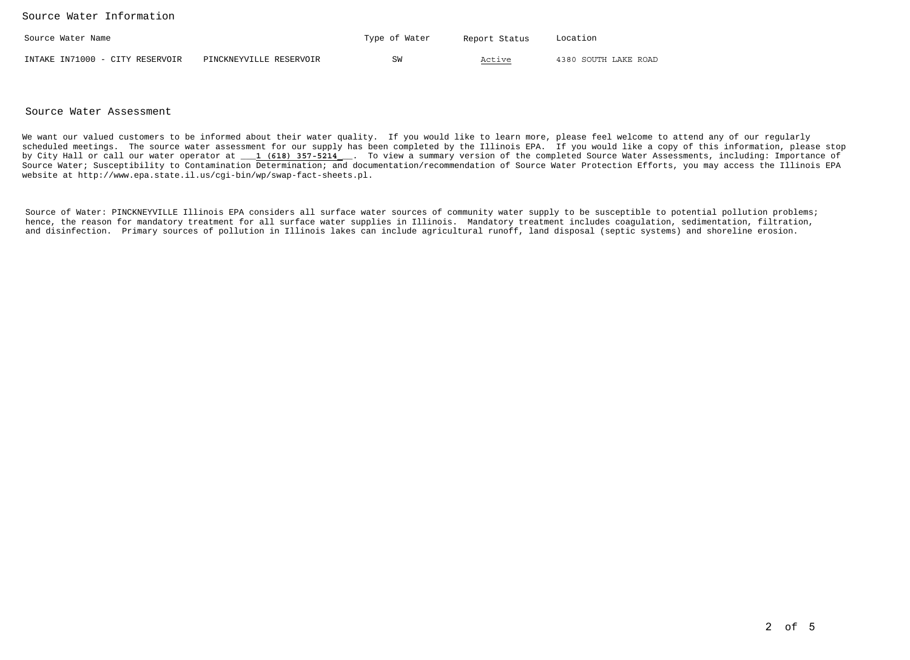Source Water Information

| Source Water Name               |                         | Type of Water | Report Status | Location             |
|---------------------------------|-------------------------|---------------|---------------|----------------------|
| INTAKE IN71000 - CITY RESERVOIR | PINCKNEYVILLE RESERVOIR | SW            | Active        | 4380 SOUTH LAKE ROAD |

#### Source Water Assessment

We want our valued customers to be informed about their water quality. If you would like to learn more, please feel welcome to attend any of our regularly scheduled meetings. The source water assessment for our supply has been completed by the Illinois EPA. If you would like a copy of this information, please stop by City Hall or call our water operator at \_\_\_**1 (618) 357-5214**\_\_\_. To view a summary version of the completed Source Water Assessments, including: Importance of Source Water; Susceptibility to Contamination Determination; and documentation/recommendation of Source Water Protection Efforts, you may access the Illinois EPAwebsite at http://www.epa.state.il.us/cgi-bin/wp/swap-fact-sheets.pl.

Source of Water: PINCKNEYVILLE Illinois EPA considers all surface water sources of community water supply to be susceptible to potential pollution problems; hence, the reason for mandatory treatment for all surface water supplies in Illinois. Mandatory treatment includes coagulation, sedimentation, filtration,and disinfection. Primary sources of pollution in Illinois lakes can include agricultural runoff, land disposal (septic systems) and shoreline erosion.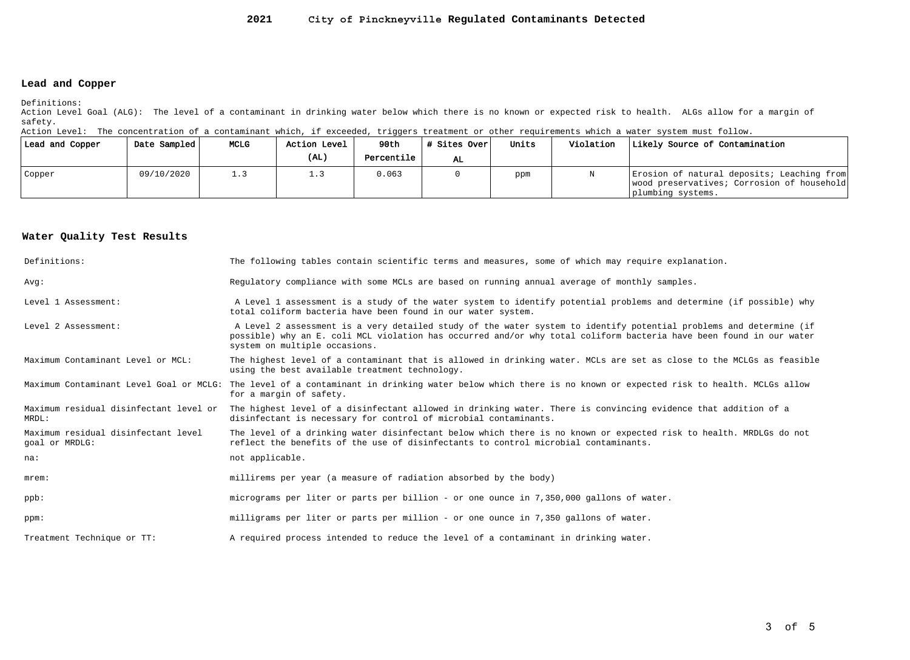#### **2021City of Pinckneyville Regulated Contaminants Detected**

#### **Lead and Copper**

Definitions:

 Action Level Goal (ALG): The level of a contaminant in drinking water below which there is no known or expected risk to health. ALGs allow for a margin ofsafety.

Action Level: The concentration of a contaminant which, if exceeded, triggers treatment or other requirements which a water system must follow.

| Lead and Copper | Date Sampled | MCLG | Action Level | 90th       | # Sites Over | Units | Violation | Likely Source of Contamination                                                                                |
|-----------------|--------------|------|--------------|------------|--------------|-------|-----------|---------------------------------------------------------------------------------------------------------------|
|                 |              |      | (AL)         | Percentile | AL.          |       |           |                                                                                                               |
| Copper          | 09/10/2020   |      | ن ، ت        | 0.063      |              | ppm   |           | Erosion of natural deposits; Leaching from<br>wood preservatives; Corrosion of household<br>plumbing systems. |

### **Water Quality Test Results**

| Definitions:                                          | The following tables contain scientific terms and measures, some of which may require explanation.                                                                                                                                                                         |
|-------------------------------------------------------|----------------------------------------------------------------------------------------------------------------------------------------------------------------------------------------------------------------------------------------------------------------------------|
| Avq:                                                  | Requlatory compliance with some MCLs are based on running annual average of monthly samples.                                                                                                                                                                               |
| Level 1 Assessment:                                   | A Level 1 assessment is a study of the water system to identify potential problems and determine (if possible) why<br>total coliform bacteria have been found in our water system.                                                                                         |
| Level 2 Assessment:                                   | A Level 2 assessment is a very detailed study of the water system to identify potential problems and determine (if<br>possible) why an E. coli MCL violation has occurred and/or why total coliform bacteria have been found in our water<br>system on multiple occasions. |
| Maximum Contaminant Level or MCL:                     | The highest level of a contaminant that is allowed in drinking water. MCLs are set as close to the MCLGs as feasible<br>using the best available treatment technology.                                                                                                     |
|                                                       | Maximum Contaminant Level Goal or MCLG: The level of a contaminant in drinking water below which there is no known or expected risk to health. MCLGs allow<br>for a margin of safety.                                                                                      |
| Maximum residual disinfectant level or<br>MRDL:       | The highest level of a disinfectant allowed in drinking water. There is convincing evidence that addition of a<br>disinfectant is necessary for control of microbial contaminants.                                                                                         |
| Maximum residual disinfectant level<br>goal or MRDLG: | The level of a drinking water disinfectant below which there is no known or expected risk to health. MRDLGs do not<br>reflect the benefits of the use of disinfectants to control microbial contaminants.                                                                  |
| na:                                                   | not applicable.                                                                                                                                                                                                                                                            |
| $m$ rem:                                              | millirems per year (a measure of radiation absorbed by the body)                                                                                                                                                                                                           |
| $ppb$ :                                               | micrograms per liter or parts per billion - or one ounce in 7,350,000 gallons of water.                                                                                                                                                                                    |
| ppm:                                                  | milligrams per liter or parts per million - or one ounce in 7,350 gallons of water.                                                                                                                                                                                        |
| Treatment Technique or TT:                            | A required process intended to reduce the level of a contaminant in drinking water.                                                                                                                                                                                        |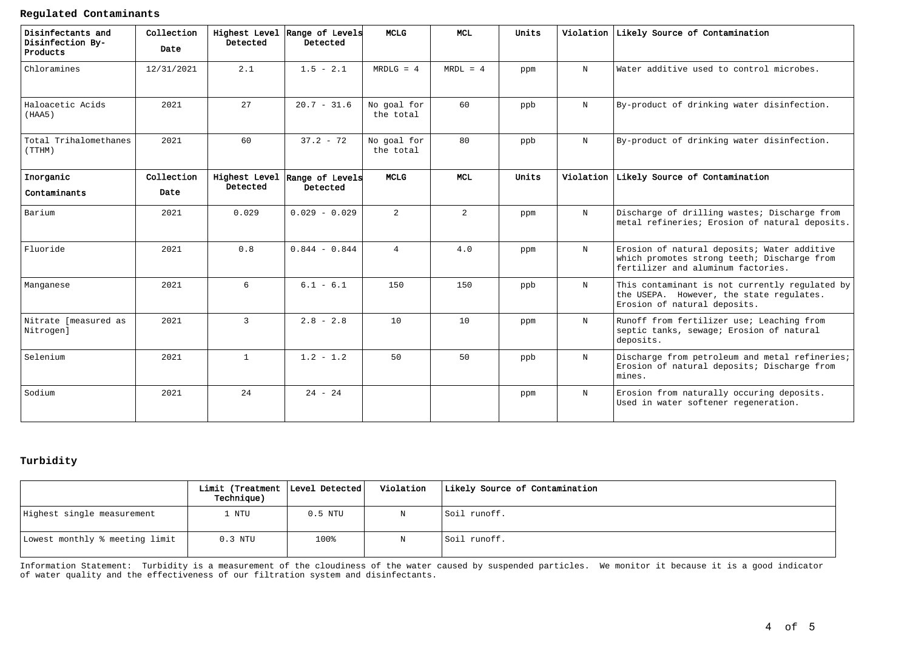**Regulated Contaminants**

| Disinfectants and<br>Disinfection By-<br>Products | Collection<br>Date | Highest Level<br>Detected | Range of Levels<br>Detected | <b>MCLG</b>              | <b>MCL</b>     | Units |            | Violation Likely Source of Contamination                                                                                         |
|---------------------------------------------------|--------------------|---------------------------|-----------------------------|--------------------------|----------------|-------|------------|----------------------------------------------------------------------------------------------------------------------------------|
| Chloramines                                       | 12/31/2021         | 2.1                       | $1.5 - 2.1$                 | $MRDLG = 4$              | $MRDL = 4$     | ppm   | N          | Water additive used to control microbes.                                                                                         |
| Haloacetic Acids<br>(HAA5)                        | 2021               | 27                        | $20.7 - 31.6$               | No goal for<br>the total | 60             | ppb   | N          | By-product of drinking water disinfection.                                                                                       |
| Total Trihalomethanes<br>(TTHM)                   | 2021               | 60                        | $37.2 - 72$                 | No goal for<br>the total | 80             | ppb   | N          | By-product of drinking water disinfection.                                                                                       |
| Inorganic<br>Contaminants                         | Collection<br>Date | Highest Level<br>Detected | Range of Levels<br>Detected | <b>MCLG</b>              | <b>MCL</b>     | Units |            | Violation Likely Source of Contamination                                                                                         |
| Barium                                            | 2021               | 0.029                     | $0.029 - 0.029$             | $\overline{a}$           | $\overline{a}$ | ppm   | N          | Discharge of drilling wastes; Discharge from<br>metal refineries; Erosion of natural deposits.                                   |
| Fluoride                                          | 2021               | 0.8                       | $0.844 - 0.844$             | $\overline{4}$           | 4.0            | ppm   | $\rm N$    | Erosion of natural deposits; Water additive<br>which promotes strong teeth; Discharge from<br>fertilizer and aluminum factories. |
| Manganese                                         | 2021               | 6                         | $6.1 - 6.1$                 | 150                      | 150            | ppb   | N          | This contaminant is not currently regulated by<br>the USEPA. However, the state regulates.<br>Erosion of natural deposits.       |
| Nitrate [measured as<br>Nitrogen]                 | 2021               | $\overline{3}$            | $2.8 - 2.8$                 | 10                       | 10             | ppm   | N          | Runoff from fertilizer use; Leaching from<br>septic tanks, sewage; Erosion of natural<br>deposits.                               |
| Selenium                                          | 2021               | $\mathbf{1}$              | $1.2 - 1.2$                 | 50                       | 50             | ppb   | $_{\rm N}$ | Discharge from petroleum and metal refineries;<br>Erosion of natural deposits; Discharge from<br>mines.                          |
| Sodium                                            | 2021               | 24                        | $24 - 24$                   |                          |                | ppm   | N          | Erosion from naturally occuring deposits.<br>Used in water softener regeneration.                                                |

### **Turbidity**

|                                | Limit (Treatment   Level Detected  <br><b>Technique)</b> |           | Violation | Likely Source of Contamination |
|--------------------------------|----------------------------------------------------------|-----------|-----------|--------------------------------|
| Highest single measurement     | . NTU                                                    | $0.5$ NTU |           | Soil runoff.                   |
| Lowest monthly % meeting limit | $0.3$ NTU                                                | 100%      |           | Soil runoff.                   |

Information Statement: Turbidity is a measurement of the cloudiness of the water caused by suspended particles. We monitor it because it is a good indicatorof water quality and the effectiveness of our filtration system and disinfectants.